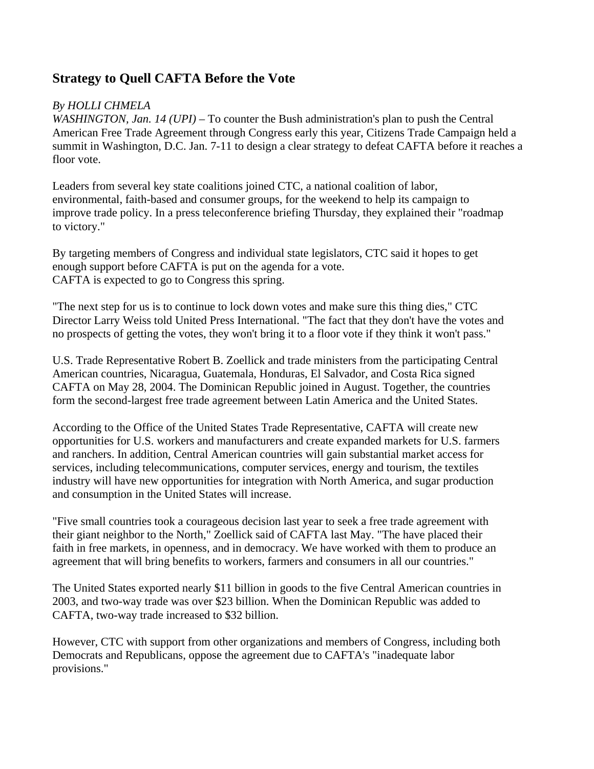## **Strategy to Quell CAFTA Before the Vote**

## *By HOLLI CHMELA*

*WASHINGTON, Jan. 14 (UPI)* – To counter the Bush administration's plan to push the Central American Free Trade Agreement through Congress early this year, Citizens Trade Campaign held a summit in Washington, D.C. Jan. 7-11 to design a clear strategy to defeat CAFTA before it reaches a floor vote.

Leaders from several key state coalitions joined CTC, a national coalition of labor, environmental, faith-based and consumer groups, for the weekend to help its campaign to improve trade policy. In a press teleconference briefing Thursday, they explained their "roadmap to victory."

By targeting members of Congress and individual state legislators, CTC said it hopes to get enough support before CAFTA is put on the agenda for a vote. CAFTA is expected to go to Congress this spring.

"The next step for us is to continue to lock down votes and make sure this thing dies," CTC Director Larry Weiss told United Press International. "The fact that they don't have the votes and no prospects of getting the votes, they won't bring it to a floor vote if they think it won't pass."

U.S. Trade Representative Robert B. Zoellick and trade ministers from the participating Central American countries, Nicaragua, Guatemala, Honduras, El Salvador, and Costa Rica signed CAFTA on May 28, 2004. The Dominican Republic joined in August. Together, the countries form the second-largest free trade agreement between Latin America and the United States.

According to the Office of the United States Trade Representative, CAFTA will create new opportunities for U.S. workers and manufacturers and create expanded markets for U.S. farmers and ranchers. In addition, Central American countries will gain substantial market access for services, including telecommunications, computer services, energy and tourism, the textiles industry will have new opportunities for integration with North America, and sugar production and consumption in the United States will increase.

"Five small countries took a courageous decision last year to seek a free trade agreement with their giant neighbor to the North," Zoellick said of CAFTA last May. "The have placed their faith in free markets, in openness, and in democracy. We have worked with them to produce an agreement that will bring benefits to workers, farmers and consumers in all our countries."

The United States exported nearly \$11 billion in goods to the five Central American countries in 2003, and two-way trade was over \$23 billion. When the Dominican Republic was added to CAFTA, two-way trade increased to \$32 billion.

However, CTC with support from other organizations and members of Congress, including both Democrats and Republicans, oppose the agreement due to CAFTA's "inadequate labor provisions."